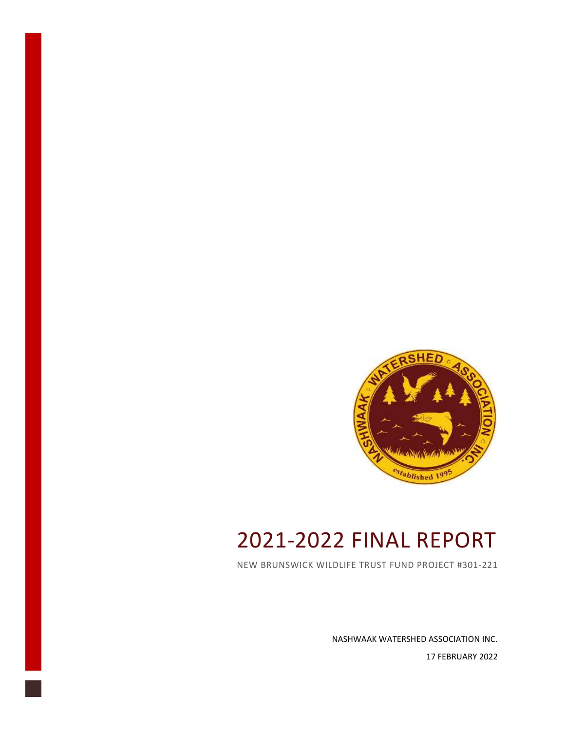

# 2021-2022 FINAL REPORT

NEW BRUNSWICK WILDLIFE TRUST FUND PROJECT #301-221

NASHWAAK WATERSHED ASSOCIATION INC. 17 FEBRUARY 2022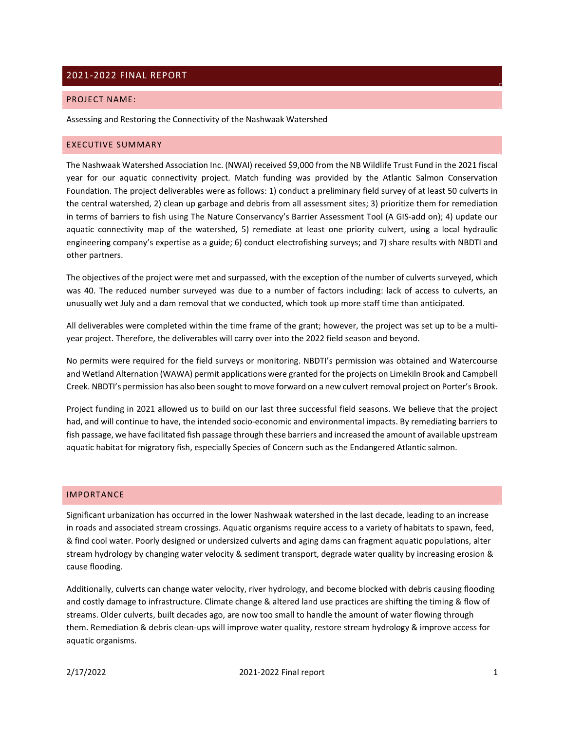## 2021-2022 FINAL REPORT

#### PROJECT NAME:

Assessing and Restoring the Connectivity of the Nashwaak Watershed

#### EXECUTIVE SUMMARY

The Nashwaak Watershed Association Inc. (NWAI) received \$9,000 from the NB Wildlife Trust Fund in the 2021 fiscal year for our aquatic connectivity project. Match funding was provided by the Atlantic Salmon Conservation Foundation. The project deliverables were as follows: 1) conduct a preliminary field survey of at least 50 culverts in the central watershed, 2) clean up garbage and debris from all assessment sites; 3) prioritize them for remediation in terms of barriers to fish using The Nature Conservancy's Barrier Assessment Tool (A GIS-add on); 4) update our aquatic connectivity map of the watershed, 5) remediate at least one priority culvert, using a local hydraulic engineering company's expertise as a guide; 6) conduct electrofishing surveys; and 7) share results with NBDTI and other partners.

The objectives of the project were met and surpassed, with the exception of the number of culverts surveyed, which was 40. The reduced number surveyed was due to a number of factors including: lack of access to culverts, an unusually wet July and a dam removal that we conducted, which took up more staff time than anticipated.

All deliverables were completed within the time frame of the grant; however, the project was set up to be a multiyear project. Therefore, the deliverables will carry over into the 2022 field season and beyond.

No permits were required for the field surveys or monitoring. NBDTI's permission was obtained and Watercourse and Wetland Alternation (WAWA) permit applications were granted for the projects on Limekiln Brook and Campbell Creek. NBDTI's permission has also been sought to move forward on a new culvert removal project on Porter's Brook.

Project funding in 2021 allowed us to build on our last three successful field seasons. We believe that the project had, and will continue to have, the intended socio-economic and environmental impacts. By remediating barriers to fish passage, we have facilitated fish passage through these barriers and increased the amount of available upstream aquatic habitat for migratory fish, especially Species of Concern such as the Endangered Atlantic salmon.

## IMPORTANCE

Significant urbanization has occurred in the lower Nashwaak watershed in the last decade, leading to an increase in roads and associated stream crossings. Aquatic organisms require access to a variety of habitats to spawn, feed, & find cool water. Poorly designed or undersized culverts and aging dams can fragment aquatic populations, alter stream hydrology by changing water velocity & sediment transport, degrade water quality by increasing erosion & cause flooding.

Additionally, culverts can change water velocity, river hydrology, and become blocked with debris causing flooding and costly damage to infrastructure. Climate change & altered land use practices are shifting the timing & flow of streams. Older culverts, built decades ago, are now too small to handle the amount of water flowing through them. Remediation & debris clean-ups will improve water quality, restore stream hydrology & improve access for aquatic organisms.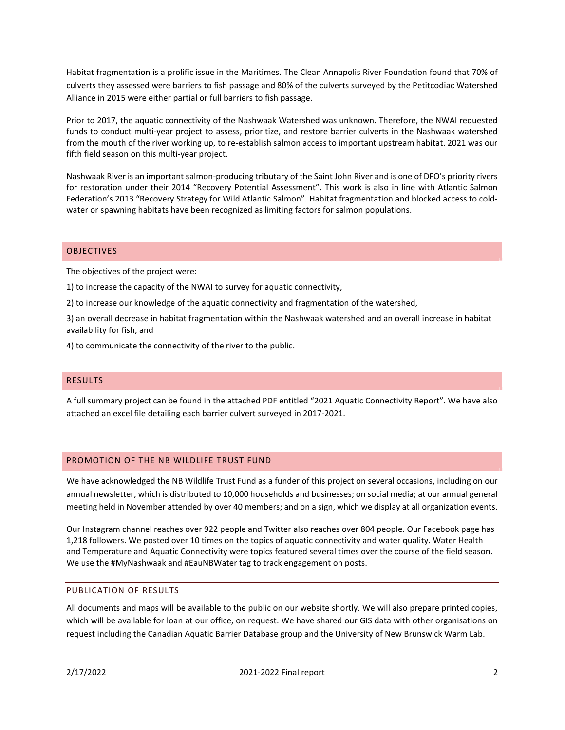Habitat fragmentation is a prolific issue in the Maritimes. The Clean Annapolis River Foundation found that 70% of culverts they assessed were barriers to fish passage and 80% of the culverts surveyed by the Petitcodiac Watershed Alliance in 2015 were either partial or full barriers to fish passage.

Prior to 2017, the aquatic connectivity of the Nashwaak Watershed was unknown. Therefore, the NWAI requested funds to conduct multi-year project to assess, prioritize, and restore barrier culverts in the Nashwaak watershed from the mouth of the river working up, to re-establish salmon access to important upstream habitat. 2021 was our fifth field season on this multi-year project.

Nashwaak River is an important salmon-producing tributary of the Saint John River and is one of DFO's priority rivers for restoration under their 2014 "Recovery Potential Assessment". This work is also in line with Atlantic Salmon Federation's 2013 "Recovery Strategy for Wild Atlantic Salmon". Habitat fragmentation and blocked access to coldwater or spawning habitats have been recognized as limiting factors for salmon populations.

## OBJECTIVES

The objectives of the project were:

1) to increase the capacity of the NWAI to survey for aquatic connectivity,

2) to increase our knowledge of the aquatic connectivity and fragmentation of the watershed,

3) an overall decrease in habitat fragmentation within the Nashwaak watershed and an overall increase in habitat availability for fish, and

4) to communicate the connectivity of the river to the public.

## RESULTS

A full summary project can be found in the attached PDF entitled "2021 Aquatic Connectivity Report". We have also attached an excel file detailing each barrier culvert surveyed in 2017-2021.

### PROMOTION OF THE NB WILDLIFE TRUST FUND

We have acknowledged the NB Wildlife Trust Fund as a funder of this project on several occasions, including on our annual newsletter, which is distributed to 10,000 households and businesses; on social media; at our annual general meeting held in November attended by over 40 members; and on a sign, which we display at all organization events.

Our Instagram channel reaches over 922 people and Twitter also reaches over 804 people. Our Facebook page has 1,218 followers. We posted over 10 times on the topics of aquatic connectivity and water quality. Water Health and Temperature and Aquatic Connectivity were topics featured several times over the course of the field season. We use the #MyNashwaak and #EauNBWater tag to track engagement on posts.

## PUBLICATION OF RESULTS

All documents and maps will be available to the public on our website shortly. We will also prepare printed copies, which will be available for loan at our office, on request. We have shared our GIS data with other organisations on request including the Canadian Aquatic Barrier Database group and the University of New Brunswick Warm Lab.